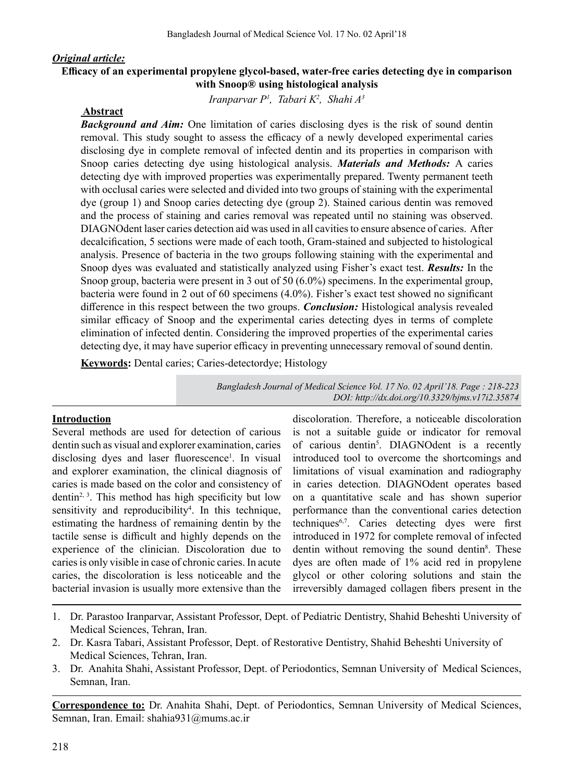# *Original article:*

# **Efficacy of an experimental propylene glycol-based, water-free caries detecting dye in comparison with Snoop® using histological analysis**

*Iranparvar P1 , Tabari K2 , Shahi A3*

# **Abstract**

*Background and Aim:* One limitation of caries disclosing dyes is the risk of sound dentin removal. This study sought to assess the efficacy of a newly developed experimental caries disclosing dye in complete removal of infected dentin and its properties in comparison with Snoop caries detecting dye using histological analysis. *Materials and Methods:* A caries detecting dye with improved properties was experimentally prepared. Twenty permanent teeth with occlusal caries were selected and divided into two groups of staining with the experimental dye (group 1) and Snoop caries detecting dye (group 2). Stained carious dentin was removed and the process of staining and caries removal was repeated until no staining was observed. DIAGNOdent laser caries detection aid was used in all cavities to ensure absence of caries. After decalcification, 5 sections were made of each tooth, Gram-stained and subjected to histological analysis. Presence of bacteria in the two groups following staining with the experimental and Snoop dyes was evaluated and statistically analyzed using Fisher's exact test. *Results:* In the Snoop group, bacteria were present in 3 out of 50 (6.0%) specimens. In the experimental group, bacteria were found in 2 out of 60 specimens (4.0%). Fisher's exact test showed no significant difference in this respect between the two groups. *Conclusion:* Histological analysis revealed similar efficacy of Snoop and the experimental caries detecting dyes in terms of complete elimination of infected dentin. Considering the improved properties of the experimental caries detecting dye, it may have superior efficacy in preventing unnecessary removal of sound dentin.

**Keywords:** Dental caries; Caries-detectordye; Histology

*Bangladesh Journal of Medical Science Vol. 17 No. 02 April'18. Page : 218-223 DOI: http://dx.doi.org/10.3329/bjms.v17i2.35874* 

#### **Introduction**

Several methods are used for detection of carious dentin such as visual and explorer examination, caries disclosing dyes and laser fluorescence<sup>1</sup>. In visual and explorer examination, the clinical diagnosis of caries is made based on the color and consistency of dentin2, 3. This method has high specificity but low sensitivity and reproducibility<sup>4</sup>. In this technique, estimating the hardness of remaining dentin by the tactile sense is difficult and highly depends on the experience of the clinician. Discoloration due to caries is only visible in case of chronic caries. In acute caries, the discoloration is less noticeable and the bacterial invasion is usually more extensive than the

discoloration. Therefore, a noticeable discoloration is not a suitable guide or indicator for removal of carious dentin<sup>5</sup>. DIAGNOdent is a recently introduced tool to overcome the shortcomings and limitations of visual examination and radiography in caries detection. DIAGNOdent operates based on a quantitative scale and has shown superior performance than the conventional caries detection techniques6,7. Caries detecting dyes were first introduced in 1972 for complete removal of infected dentin without removing the sound dentin<sup>8</sup>. These dyes are often made of 1% acid red in propylene glycol or other coloring solutions and stain the irreversibly damaged collagen fibers present in the

- 1. Dr. Parastoo Iranparvar, Assistant Professor, Dept. of Pediatric Dentistry, Shahid Beheshti University of Medical Sciences, Tehran, Iran.
- 2. Dr. Kasra Tabari, Assistant Professor, Dept. of Restorative Dentistry, Shahid Beheshti University of Medical Sciences, Tehran, Iran.
- 3. Dr. Anahita Shahi, Assistant Professor, Dept. of Periodontics, Semnan University of Medical Sciences, Semnan, Iran.

**Correspondence to:** Dr. Anahita Shahi, Dept. of Periodontics, Semnan University of Medical Sciences, Semnan, Iran. Email: shahia931@mums.ac.ir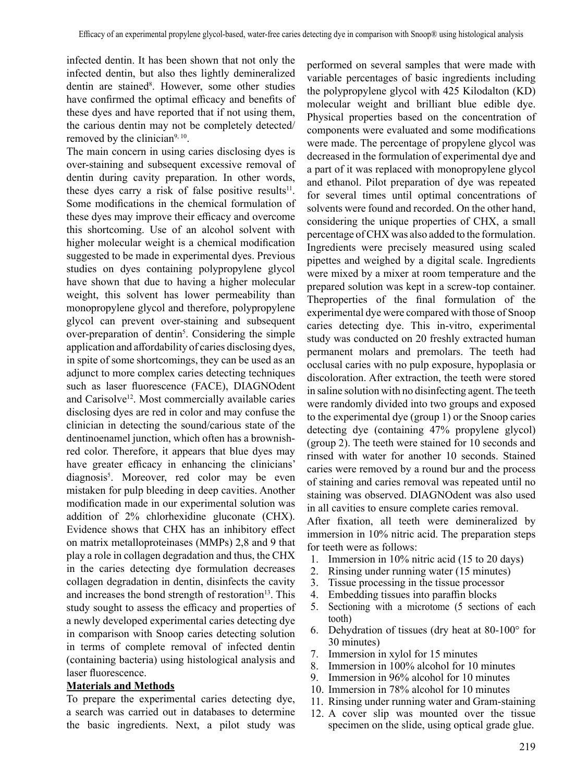infected dentin. It has been shown that not only the infected dentin, but also thes lightly demineralized dentin are stained<sup>8</sup>. However, some other studies have confirmed the optimal efficacy and benefits of these dyes and have reported that if not using them, the carious dentin may not be completely detected/ removed by the clinician $9,10$ .

The main concern in using caries disclosing dyes is over-staining and subsequent excessive removal of dentin during cavity preparation. In other words, these dyes carry a risk of false positive results $11$ . Some modifications in the chemical formulation of these dyes may improve their efficacy and overcome this shortcoming. Use of an alcohol solvent with higher molecular weight is a chemical modification suggested to be made in experimental dyes. Previous studies on dyes containing polypropylene glycol have shown that due to having a higher molecular weight, this solvent has lower permeability than monopropylene glycol and therefore, polypropylene glycol can prevent over-staining and subsequent over-preparation of dentin<sup>5</sup>. Considering the simple application and affordability of caries disclosing dyes, in spite of some shortcomings, they can be used as an adjunct to more complex caries detecting techniques such as laser fluorescence (FACE), DIAGNOdent and Carisolve<sup>12</sup>. Most commercially available caries disclosing dyes are red in color and may confuse the clinician in detecting the sound/carious state of the dentinoenamel junction, which often has a brownishred color. Therefore, it appears that blue dyes may have greater efficacy in enhancing the clinicians' diagnosis5 . Moreover, red color may be even mistaken for pulp bleeding in deep cavities. Another modification made in our experimental solution was addition of 2% chlorhexidine gluconate (CHX). Evidence shows that CHX has an inhibitory effect on matrix metalloproteinases (MMPs) 2,8 and 9 that play a role in collagen degradation and thus, the CHX in the caries detecting dye formulation decreases collagen degradation in dentin, disinfects the cavity and increases the bond strength of restoration $13$ . This study sought to assess the efficacy and properties of a newly developed experimental caries detecting dye in comparison with Snoop caries detecting solution in terms of complete removal of infected dentin (containing bacteria) using histological analysis and laser fluorescence.

# **Materials and Methods**

To prepare the experimental caries detecting dye, a search was carried out in databases to determine the basic ingredients. Next, a pilot study was performed on several samples that were made with variable percentages of basic ingredients including the polypropylene glycol with 425 Kilodalton (KD) molecular weight and brilliant blue edible dye. Physical properties based on the concentration of components were evaluated and some modifications were made. The percentage of propylene glycol was decreased in the formulation of experimental dye and a part of it was replaced with monopropylene glycol and ethanol. Pilot preparation of dye was repeated for several times until optimal concentrations of solvents were found and recorded. On the other hand, considering the unique properties of CHX, a small percentage ofCHX was also added to the formulation. Ingredients were precisely measured using scaled pipettes and weighed by a digital scale. Ingredients were mixed by a mixer at room temperature and the prepared solution was kept in a screw-top container. Theproperties of the final formulation of the experimental dye were compared with those of Snoop caries detecting dye. This in-vitro, experimental study was conducted on 20 freshly extracted human permanent molars and premolars. The teeth had occlusal caries with no pulp exposure, hypoplasia or discoloration. After extraction, the teeth were stored in saline solution with no disinfecting agent.The teeth were randomly divided into two groups and exposed to the experimental dye (group 1) or the Snoop caries detecting dye (containing 47% propylene glycol) (group 2). The teeth were stained for 10 seconds and rinsed with water for another 10 seconds. Stained caries were removed by a round bur and the process of staining and caries removal was repeated until no staining was observed. DIAGNOdent was also used in all cavities to ensure complete caries removal.

After fixation, all teeth were demineralized by immersion in 10% nitric acid. The preparation steps for teeth were as follows:

- 1. Immersion in 10% nitric acid (15 to 20 days)
- 2. Rinsing under running water (15 minutes)
- 3. Tissue processing in the tissue processor
- 4. Embedding tissues into paraffin blocks
- 5. Sectioning with a microtome (5 sections of each tooth)
- 6. Dehydration of tissues (dry heat at  $80-100^\circ$  for 30 minutes)
- 7. Immersion in xylol for 15 minutes
- 8. Immersion in 100% alcohol for 10 minutes
- 9. Immersion in 96% alcohol for 10 minutes
- 10. Immersion in 78% alcohol for 10 minutes
- 11. Rinsing under running water and Gram-staining
- 12. A cover slip was mounted over the tissue specimen on the slide, using optical grade glue.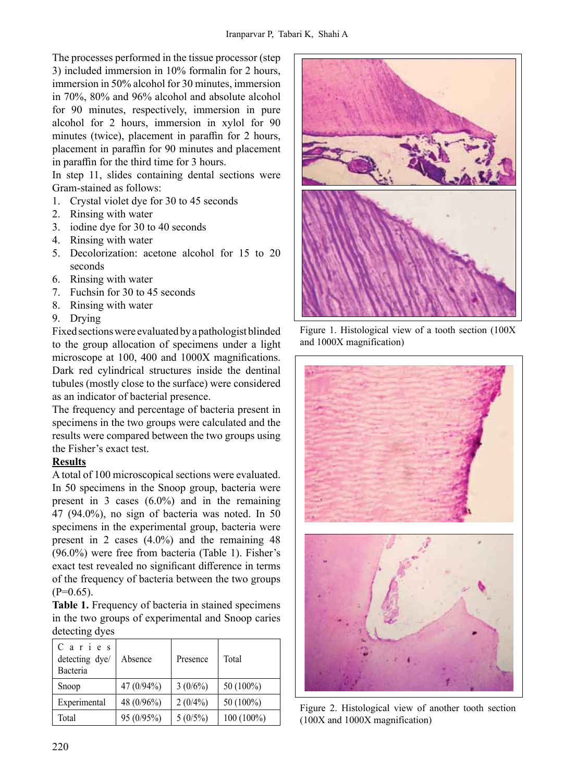The processes performed in the tissue processor (step 3) included immersion in 10% formalin for 2 hours, immersion in 50% alcohol for 30 minutes, immersion in 70%, 80% and 96% alcohol and absolute alcohol for 90 minutes, respectively, immersion in pure alcohol for 2 hours, immersion in xylol for 90 minutes (twice), placement in paraffin for 2 hours, placement in paraffin for 90 minutes and placement in paraffin for the third time for 3 hours.

In step 11, slides containing dental sections were Gram-stained as follows:

- 1. Crystal violet dye for 30 to 45 seconds
- 2. Rinsing with water
- 3. iodine dye for 30 to 40 seconds
- 4. Rinsing with water
- 5. Decolorization: acetone alcohol for 15 to 20 seconds
- 6. Rinsing with water
- 7. Fuchsin for 30 to 45 seconds
- 8. Rinsing with water
- 9. Drying

Fixed sections were evaluated by a pathologist blinded to the group allocation of specimens under a light microscope at 100, 400 and 1000X magnifications. Dark red cylindrical structures inside the dentinal tubules (mostly close to the surface) were considered as an indicator of bacterial presence.

The frequency and percentage of bacteria present in specimens in the two groups were calculated and the results were compared between the two groups using the Fisher's exact test.

# **Results**

Atotal of 100 microscopical sections were evaluated. In 50 specimens in the Snoop group, bacteria were present in 3 cases (6.0%) and in the remaining 47 (94.0%), no sign of bacteria was noted. In 50 specimens in the experimental group, bacteria were present in 2 cases (4.0%) and the remaining 48 (96.0%) were free from bacteria (Table 1). Fisher's exact test revealed no significant difference in terms of the frequency of bacteria between the two groups  $(P=0.65)$ .

**Table 1.** Frequency of bacteria in stained specimens in the two groups of experimental and Snoop caries detecting dyes

| Caries<br>detecting dye/<br>Bacteria | Absence    | Presence   | Total       |
|--------------------------------------|------------|------------|-------------|
| Snoop                                | 47 (0/94%) | 3(0/6%)    | 50 (100%)   |
| Experimental                         | 48 (0/96%) | $2(0/4\%)$ | $50(100\%)$ |
| Total                                | 95 (0/95%) | $5(0/5\%)$ | 100 (100%)  |



Figure 1. Histological view of a tooth section (100X) and 1000X magnification)



Figure 2. Histological view of another tooth section  $(100X \text{ and } 1000X \text{ magnification})$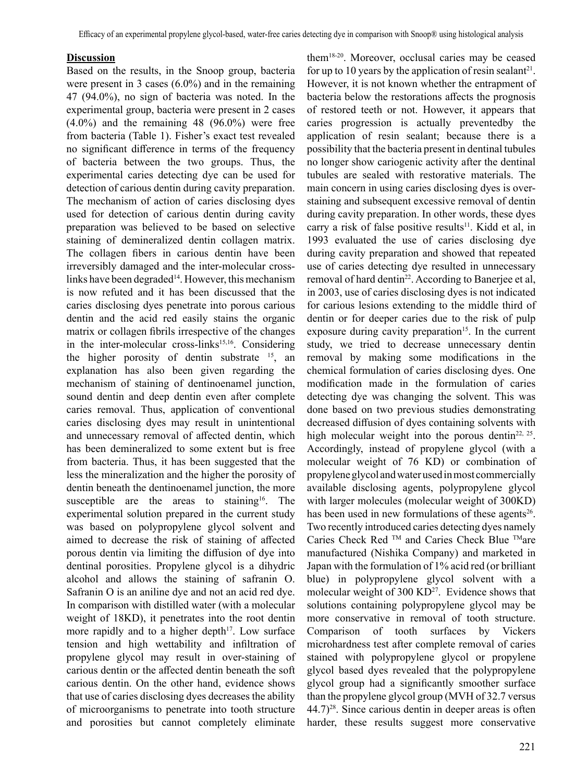#### **Discussion**

Based on the results, in the Snoop group, bacteria were present in 3 cases (6.0%) and in the remaining 47 (94.0%), no sign of bacteria was noted. In the experimental group, bacteria were present in 2 cases (4.0%) and the remaining 48 (96.0%) were free from bacteria (Table 1). Fisher's exact test revealed no significant difference in terms of the frequency of bacteria between the two groups. Thus, the experimental caries detecting dye can be used for detection of carious dentin during cavity preparation. The mechanism of action of caries disclosing dyes used for detection of carious dentin during cavity preparation was believed to be based on selective staining of demineralized dentin collagen matrix. The collagen fibers in carious dentin have been irreversibly damaged and the inter-molecular crosslinks have been degraded<sup>14</sup>. However, this mechanism is now refuted and it has been discussed that the caries disclosing dyes penetrate into porous carious dentin and the acid red easily stains the organic matrix or collagen fibrils irrespective of the changes in the inter-molecular cross-links<sup>15,16</sup>. Considering the higher porosity of dentin substrate <sup>15</sup>, an explanation has also been given regarding the mechanism of staining of dentinoenamel junction, sound dentin and deep dentin even after complete caries removal. Thus, application of conventional caries disclosing dyes may result in unintentional and unnecessary removal of affected dentin, which has been demineralized to some extent but is free from bacteria. Thus, it has been suggested that the less the mineralization and the higher the porosity of dentin beneath the dentinoenamel junction, the more susceptible are the areas to staining<sup>16</sup>. The experimental solution prepared in the current study was based on polypropylene glycol solvent and aimed to decrease the risk of staining of affected porous dentin via limiting the diffusion of dye into dentinal porosities. Propylene glycol is a dihydric alcohol and allows the staining of safranin O. Safranin O is an aniline dye and not an acid red dye. In comparison with distilled water (with a molecular weight of 18KD), it penetrates into the root dentin more rapidly and to a higher depth $17$ . Low surface tension and high wettability and infiltration of propylene glycol may result in over-staining of carious dentin or the affected dentin beneath the soft carious dentin. On the other hand, evidence shows that use of caries disclosing dyes decreases the ability of microorganisms to penetrate into tooth structure and porosities but cannot completely eliminate

them18-20. Moreover, occlusal caries may be ceased for up to 10 years by the application of resin sealant<sup>21</sup>. However, it is not known whether the entrapment of bacteria below the restorations affects the prognosis of restored teeth or not. However, it appears that caries progression is actually preventedby the application of resin sealant; because there is a possibility that the bacteria present in dentinal tubules no longer show cariogenic activity after the dentinal tubules are sealed with restorative materials. The main concern in using caries disclosing dyes is overstaining and subsequent excessive removal of dentin during cavity preparation. In other words, these dyes carry a risk of false positive results<sup>11</sup>. Kidd et al, in 1993 evaluated the use of caries disclosing dye during cavity preparation and showed that repeated use of caries detecting dye resulted in unnecessary removal of hard dentin<sup>22</sup>. According to Banerjee et al, in 2003, use of caries disclosing dyes is not indicated for carious lesions extending to the middle third of dentin or for deeper caries due to the risk of pulp exposure during cavity preparation<sup>15</sup>. In the current study, we tried to decrease unnecessary dentin removal by making some modifications in the chemical formulation of caries disclosing dyes. One modification made in the formulation of caries detecting dye was changing the solvent. This was done based on two previous studies demonstrating decreased diffusion of dyes containing solvents with high molecular weight into the porous dentin<sup>22, 25</sup>. Accordingly, instead of propylene glycol (with a molecular weight of 76 KD) or combination of propyleneglycol andwaterusedinmost commercially available disclosing agents, polypropylene glycol with larger molecules (molecular weight of 300KD) has been used in new formulations of these agents<sup>26</sup>. Two recently introduced caries detecting dyes namely Caries Check Red ™ and Caries Check Blue ™are manufactured (Nishika Company) and marketed in Japan with the formulation of 1% acid red (or brilliant blue) in polypropylene glycol solvent with a molecular weight of 300 KD<sup>27</sup>. Evidence shows that solutions containing polypropylene glycol may be more conservative in removal of tooth structure. Comparison of tooth surfaces by Vickers microhardness test after complete removal of caries stained with polypropylene glycol or propylene glycol based dyes revealed that the polypropylene glycol group had a significantly smoother surface than the propylene glycol group (MVH of 32.7 versus  $44.7)^{28}$ . Since carious dentin in deeper areas is often harder, these results suggest more conservative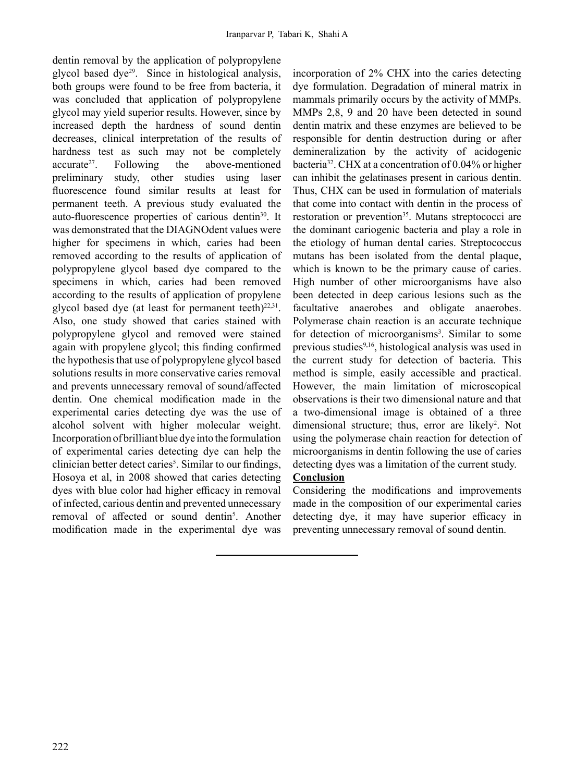dentin removal by the application of polypropylene glycol based dye $29$ . Since in histological analysis, both groups were found to be free from bacteria, it was concluded that application of polypropylene glycol may yield superior results. However, since by increased depth the hardness of sound dentin decreases, clinical interpretation of the results of hardness test as such may not be completely  $accurate^{27}$ . Following the above-mentioned preliminary study, other studies using laser fluorescence found similar results at least for permanent teeth. A previous study evaluated the auto-fluorescence properties of carious dentin<sup>30</sup>. It was demonstrated that the DIAGNOdent values were higher for specimens in which, caries had been removed according to the results of application of polypropylene glycol based dye compared to the specimens in which, caries had been removed according to the results of application of propylene glycol based dye (at least for permanent teeth) $^{22,31}$ . Also, one study showed that caries stained with polypropylene glycol and removed were stained again with propylene glycol; this finding confirmed the hypothesis that use of polypropylene glycol based solutions results in more conservative caries removal and prevents unnecessary removal of sound/affected dentin. One chemical modification made in the experimental caries detecting dye was the use of alcohol solvent with higher molecular weight. Incorporation of brilliant blue dye into the formulation of experimental caries detecting dye can help the clinician better detect caries<sup>5</sup>. Similar to our findings, Hosoya et al, in 2008 showed that caries detecting dyes with blue color had higher efficacy in removal of infected, carious dentin and prevented unnecessary removal of affected or sound dentin<sup>5</sup>. Another modification made in the experimental dye was

incorporation of 2% CHX into the caries detecting dye formulation. Degradation of mineral matrix in mammals primarily occurs by the activity of MMPs. MMPs 2,8, 9 and 20 have been detected in sound dentin matrix and these enzymes are believed to be responsible for dentin destruction during or after demineralization by the activity of acidogenic bacteria32. CHX at a concentration of 0.04% or higher can inhibit the gelatinases present in carious dentin. Thus, CHX can be used in formulation of materials that come into contact with dentin in the process of restoration or prevention<sup>35</sup>. Mutans streptococci are the dominant cariogenic bacteria and play a role in the etiology of human dental caries. Streptococcus mutans has been isolated from the dental plaque, which is known to be the primary cause of caries. High number of other microorganisms have also been detected in deep carious lesions such as the facultative anaerobes and obligate anaerobes. Polymerase chain reaction is an accurate technique for detection of microorganisms<sup>3</sup>. Similar to some previous studies<sup>9,16</sup>, histological analysis was used in the current study for detection of bacteria. This method is simple, easily accessible and practical. However, the main limitation of microscopical observations is their two dimensional nature and that a two-dimensional image is obtained of a three dimensional structure; thus, error are likely<sup>2</sup>. Not using the polymerase chain reaction for detection of microorganisms in dentin following the use of caries detecting dyes was a limitation of the current study.

# **Conclusion**

Considering the modifications and improvements made in the composition of our experimental caries detecting dye, it may have superior efficacy in preventing unnecessary removal of sound dentin.